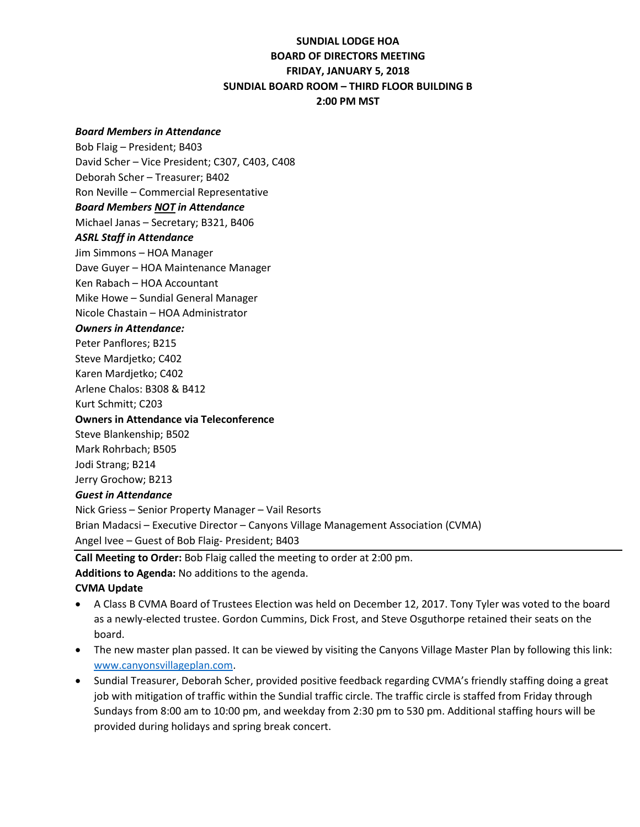# **SUNDIAL LODGE HOA BOARD OF DIRECTORS MEETING FRIDAY, JANUARY 5, 2018 SUNDIAL BOARD ROOM – THIRD FLOOR BUILDING B 2:00 PM MST**

#### *Board Members in Attendance*

Bob Flaig – President; B403 David Scher – Vice President; C307, C403, C408 Deborah Scher – Treasurer; B402 Ron Neville – Commercial Representative *Board Members NOT in Attendance* Michael Janas – Secretary; B321, B406 *ASRL Staff in Attendance* Jim Simmons – HOA Manager Dave Guyer – HOA Maintenance Manager Ken Rabach – HOA Accountant Mike Howe – Sundial General Manager Nicole Chastain – HOA Administrator *Owners in Attendance:* Peter Panflores; B215 Steve Mardjetko; C402 Karen Mardjetko; C402 Arlene Chalos: B308 & B412 Kurt Schmitt; C203 **Owners in Attendance via Teleconference** Steve Blankenship; B502 Mark Rohrbach; B505 Jodi Strang; B214 Jerry Grochow; B213 *Guest in Attendance* Nick Griess – Senior Property Manager – Vail Resorts Brian Madacsi – Executive Director – Canyons Village Management Association (CVMA) Angel Ivee – Guest of Bob Flaig- President; B403

**Call Meeting to Order:** Bob Flaig called the meeting to order at 2:00 pm.

**Additions to Agenda:** No additions to the agenda.

#### **CVMA Update**

- A Class B CVMA Board of Trustees Election was held on December 12, 2017. Tony Tyler was voted to the board as a newly-elected trustee. Gordon Cummins, Dick Frost, and Steve Osguthorpe retained their seats on the board.
- The new master plan passed. It can be viewed by visiting the Canyons Village Master Plan by following this link: [www.canyonsvillageplan.com.](http://www.canyonsvillageplan.com/)
- Sundial Treasurer, Deborah Scher, provided positive feedback regarding CVMA's friendly staffing doing a great job with mitigation of traffic within the Sundial traffic circle. The traffic circle is staffed from Friday through Sundays from 8:00 am to 10:00 pm, and weekday from 2:30 pm to 530 pm. Additional staffing hours will be provided during holidays and spring break concert.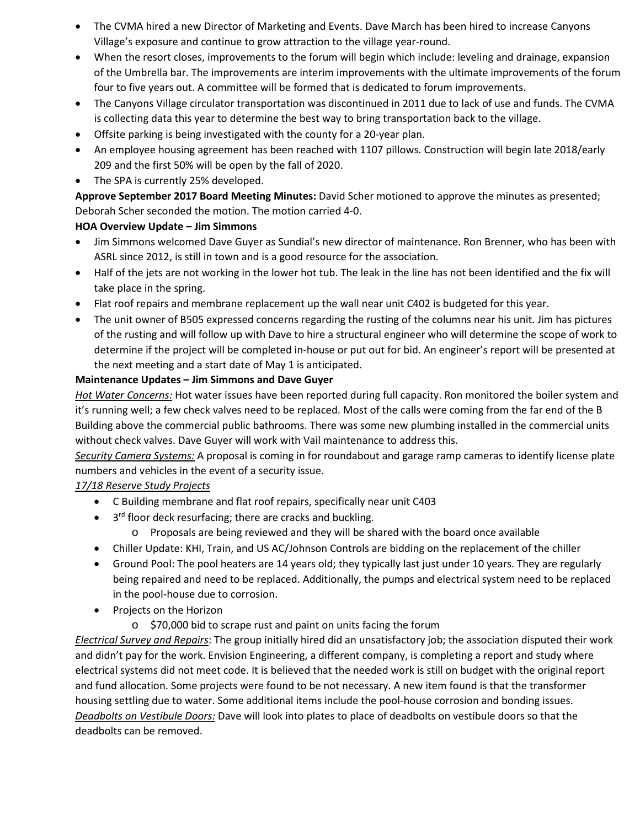- The CVMA hired a new Director of Marketing and Events. Dave March has been hired to increase Canyons Village's exposure and continue to grow attraction to the village year-round.
- When the resort closes, improvements to the forum will begin which include: leveling and drainage, expansion of the Umbrella bar. The improvements are interim improvements with the ultimate improvements of the forum four to five years out. A committee will be formed that is dedicated to forum improvements.
- The Canyons Village circulator transportation was discontinued in 2011 due to lack of use and funds. The CVMA is collecting data this year to determine the best way to bring transportation back to the village.
- Offsite parking is being investigated with the county for a 20-year plan.
- An employee housing agreement has been reached with 1107 pillows. Construction will begin late 2018/early 209 and the first 50% will be open by the fall of 2020.
- The SPA is currently 25% developed.

**Approve September 2017 Board Meeting Minutes:** David Scher motioned to approve the minutes as presented; Deborah Scher seconded the motion. The motion carried 4-0.

# **HOA Overview Update – Jim Simmons**

- Jim Simmons welcomed Dave Guyer as Sundial's new director of maintenance. Ron Brenner, who has been with ASRL since 2012, is still in town and is a good resource for the association.
- Half of the jets are not working in the lower hot tub. The leak in the line has not been identified and the fix will take place in the spring.
- Flat roof repairs and membrane replacement up the wall near unit C402 is budgeted for this year.
- The unit owner of B505 expressed concerns regarding the rusting of the columns near his unit. Jim has pictures of the rusting and will follow up with Dave to hire a structural engineer who will determine the scope of work to determine if the project will be completed in-house or put out for bid. An engineer's report will be presented at the next meeting and a start date of May 1 is anticipated.

### **Maintenance Updates – Jim Simmons and Dave Guyer**

*Hot Water Concerns:* Hot water issues have been reported during full capacity. Ron monitored the boiler system and it's running well; a few check valves need to be replaced. Most of the calls were coming from the far end of the B Building above the commercial public bathrooms. There was some new plumbing installed in the commercial units without check valves. Dave Guyer will work with Vail maintenance to address this.

*Security Camera Systems:* A proposal is coming in for roundabout and garage ramp cameras to identify license plate numbers and vehicles in the event of a security issue.

### *17/18 Reserve Study Projects*

- C Building membrane and flat roof repairs, specifically near unit C403
- $\bullet$  3<sup>rd</sup> floor deck resurfacing; there are cracks and buckling.
	- o Proposals are being reviewed and they will be shared with the board once available
- Chiller Update: KHI, Train, and US AC/Johnson Controls are bidding on the replacement of the chiller
- Ground Pool: The pool heaters are 14 years old; they typically last just under 10 years. They are regularly being repaired and need to be replaced. Additionally, the pumps and electrical system need to be replaced in the pool-house due to corrosion.
- Projects on the Horizon
	- o \$70,000 bid to scrape rust and paint on units facing the forum

*Electrical Survey and Repairs*: The group initially hired did an unsatisfactory job; the association disputed their work and didn't pay for the work. Envision Engineering, a different company, is completing a report and study where electrical systems did not meet code. It is believed that the needed work is still on budget with the original report and fund allocation. Some projects were found to be not necessary. A new item found is that the transformer housing settling due to water. Some additional items include the pool-house corrosion and bonding issues. *Deadbolts on Vestibule Doors:* Dave will look into plates to place of deadbolts on vestibule doors so that the deadbolts can be removed.